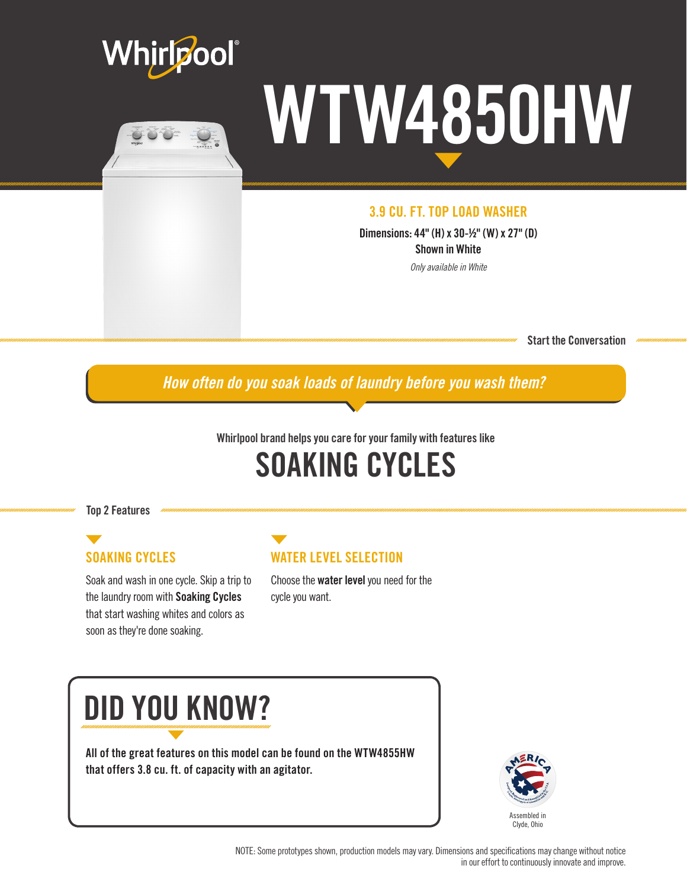



# WTW4850HW

#### 3.9 CU. FT. TOP LOAD WASHER

Dimensions: 44" (H) x 30-½" (W) x 27" (D) Shown in White

*Only available in White*

Start the Conversation

*How often do you soak loads of laundry before you wash them?*

#### Whirlpool brand helps you care for your family with features like

### SOAKING CYCLES

Top 2 Features

#### SOAKING CYCLES

Soak and wash in one cycle. Skip a trip to the laundry room with Soaking Cycles that start washing whites and colors as soon as they're done soaking.

#### WATER LEVEL SELECTION

Choose the water level you need for the cycle you want.

## DID YOU KNOW?

All of the great features on this model can be found on the WTW4855HW that offers 3.8 cu. ft. of capacity with an agitator.